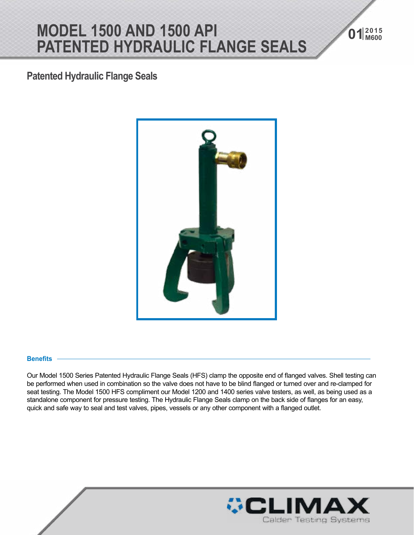## **<sup>2015</sup> MODEL 1500 AND 1500 API 01 M600 PATENTED HYDRAULIC FLANGE SEALS**

### **Patented Hydraulic Flange Seals**



#### **Benefits**

Our Model 1500 Series Patented Hydraulic Flange Seals (HFS) clamp the opposite end of flanged valves. Shell testing can be performed when used in combination so the valve does not have to be blind flanged or turned over and re-clamped for seat testing. The Model 1500 HFS compliment our Model 1200 and 1400 series valve testers, as well, as being used as a standalone component for pressure testing. The Hydraulic Flange Seals clamp on the back side of flanges for an easy, quick and safe way to seal and test valves, pipes, vessels or any other component with a flanged outlet.

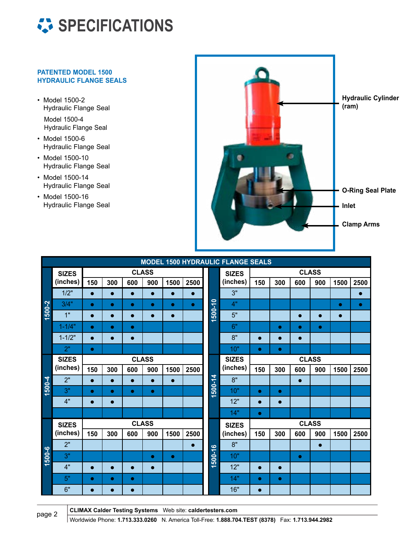

#### **PATENTED MODEL 1500 HYDRAULIC FLANGE SEALS**

- Model 1500-2 Hydraulic Flange Seal Model 1500-4 Hydraulic Flange Seal
- Model 1500-6 Hydraulic Flange Seal
- Model 1500-10 Hydraulic Flange Seal
- Model 1500-14 Hydraulic Flange Seal
- Model 1500-16 Hydraulic Flange Seal



| <b>MODEL 1500 HYDRAULIC FLANGE SEALS</b> |                          |              |           |           |           |           |           |             |              |              |           |           |           |           |           |
|------------------------------------------|--------------------------|--------------|-----------|-----------|-----------|-----------|-----------|-------------|--------------|--------------|-----------|-----------|-----------|-----------|-----------|
| 1500-2                                   | <b>SIZES</b><br>(inches) | <b>CLASS</b> |           |           |           |           |           |             | <b>SIZES</b> | <b>CLASS</b> |           |           |           |           |           |
|                                          |                          | 150          | 300       | 600       | 900       | 1500      | 2500      |             | (inches)     | 150          | 300       | 600       | 900       | 1500      | 2500      |
|                                          | 1/2"                     | $\bullet$    | $\bullet$ | $\bullet$ | $\bullet$ | $\bullet$ | $\bullet$ |             | 3"           |              |           |           |           |           | $\bullet$ |
|                                          | 3/4"                     | $\bullet$    | $\bullet$ | $\bullet$ | $\bullet$ | $\bullet$ | $\bullet$ | $1500 - 10$ | 4"           |              |           |           |           | $\bullet$ | $\bullet$ |
|                                          | 1"                       | $\bullet$    | $\bullet$ | $\bullet$ | $\bullet$ | $\bullet$ |           |             | 5"           |              |           | $\bullet$ | $\bullet$ | $\bullet$ |           |
|                                          | $1 - 1/4"$               | $\bullet$    | $\bullet$ | $\bullet$ |           |           |           |             | 6"           |              | $\bullet$ | $\bullet$ | $\bullet$ |           |           |
|                                          | $1 - 1/2"$               | $\bullet$    | $\bullet$ | $\bullet$ |           |           |           |             | 8"           | $\bullet$    | $\bullet$ | $\bullet$ |           |           |           |
|                                          | 2"                       | $\bullet$    |           |           |           |           |           |             | 10"          | $\bullet$    | $\bullet$ |           |           |           |           |
|                                          | <b>SIZES</b><br>(inches) | <b>CLASS</b> |           |           |           |           |           |             | <b>SIZES</b> | <b>CLASS</b> |           |           |           |           |           |
|                                          |                          | 150          | 300       | 600       | 900       | 1500      | 2500      |             | (inches)     | 150          | 300       | 600       | 900       | 1500      | 2500      |
| 1500-4                                   | 2"                       | $\bullet$    | $\bullet$ | $\bullet$ | $\bullet$ | $\bullet$ |           |             | 8"           |              |           | $\bullet$ |           |           |           |
|                                          | 3"                       | $\bullet$    | $\bullet$ | $\bullet$ | $\bullet$ |           |           | 1500-14     | 10"          | $\bullet$    | $\bullet$ |           |           |           |           |
|                                          | 4"                       | $\bullet$    | $\bullet$ |           |           |           |           |             | 12"          | $\bullet$    | $\bullet$ |           |           |           |           |
|                                          |                          |              |           |           |           |           |           |             | 14"          | $\bullet$    |           |           |           |           |           |
|                                          | <b>SIZES</b>             | <b>CLASS</b> |           |           |           |           |           |             | <b>SIZES</b> | <b>CLASS</b> |           |           |           |           |           |
|                                          | (inches)                 | 150          | 300       | 600       | 900       | 1500      | 2500      |             | (inches)     | 150          | 300       | 600       | 900       | 1500      | 2500      |
|                                          | 2"                       |              |           |           |           |           | $\bullet$ |             | 8"           |              |           |           | $\bullet$ |           |           |
| 1500-6                                   | 3"                       |              |           |           | $\bullet$ | $\bullet$ |           | 1500-16     | 10"          |              |           | $\bullet$ |           |           |           |
|                                          | 4"                       | $\bullet$    | $\bullet$ | $\bullet$ | $\bullet$ |           |           |             | 12"          | $\bullet$    | $\bullet$ |           |           |           |           |
|                                          | 5"                       | $\bullet$    | $\bullet$ | $\bullet$ |           |           |           |             | 14"          | $\bullet$    | $\bullet$ |           |           |           |           |
|                                          | 6"                       | $\bullet$    | $\bullet$ | $\bullet$ |           |           |           |             | 16"          | $\bullet$    |           |           |           |           |           |

**CLIMAX Calder Testing Systems** Web site: **caldertesters.com**

page 2 **CEMILAX CLUBE: 1.713.333.0260** N. America Toll-Free: **1.888.704.TEST (8378)** Fax: **1.713.944.2982**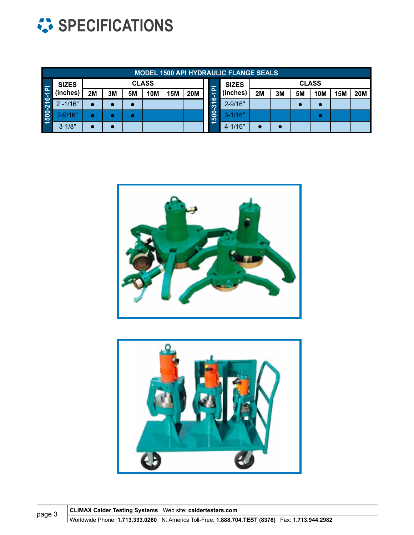

|        | <b>MODEL 1500 API HYDRAULIC FLANGE SEALS</b> |              |    |           |            |            |            |                                                     |              |              |    |    |            |            |            |  |
|--------|----------------------------------------------|--------------|----|-----------|------------|------------|------------|-----------------------------------------------------|--------------|--------------|----|----|------------|------------|------------|--|
| 6-1PI  | <b>SIZES</b><br>(inches)                     | <b>CLASS</b> |    |           |            |            |            |                                                     | <b>SIZES</b> | <b>CLASS</b> |    |    |            |            |            |  |
|        |                                              | 2M           | 3M | <b>5M</b> | <b>10M</b> | <b>15M</b> | <b>20M</b> | $\overline{\mathbf{a}}$<br>$\overline{\phantom{0}}$ | (inches)     | 2M           | 3M | 5M | <b>10M</b> | <b>15M</b> | <b>20M</b> |  |
|        | $2 - 1/16"$                                  | <b>O</b>     |    | $\bullet$ |            |            |            | $\mathbf{c}$<br>$\overline{\Omega}$<br>500          | $2 - 9/16"$  |              |    |    |            |            |            |  |
| 500-21 | $2 - 9/16"$                                  |              |    |           |            |            |            |                                                     | $3 - 1/16"$  |              |    |    |            |            |            |  |
|        | $3 - 1/8"$                                   |              |    |           |            |            |            |                                                     | $4 - 1/16"$  |              |    |    |            |            |            |  |





**CLIMAX Calder Testing Systems** Web site: **caldertesters.com** page 3<br>Worldwide Phone: **1.713.333.0260** N. America Toll-Free: **1.888.704.TEST (8378)** Fax: **1.713.944.2982**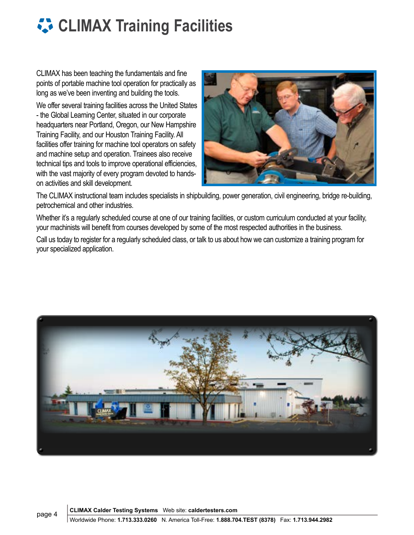## **CLIMAX Training Facilities**

CLIMAX has been teaching the fundamentals and fine points of portable machine tool operation for practically as long as we've been inventing and building the tools.

We offer several training facilities across the United States - the Global Learning Center, situated in our corporate headquarters near Portland, Oregon, our New Hampshire Training Facility, and our Houston Training Facility. All facilities offer training for machine tool operators on safety and machine setup and operation. Trainees also receive technical tips and tools to improve operational efficiencies, with the vast majority of every program devoted to handson activities and skill development.



The CLIMAX instructional team includes specialists in shipbuilding, power generation, civil engineering, bridge re-building, petrochemical and other industries.

Whether it's a regularly scheduled course at one of our training facilities, or custom curriculum conducted at your facility, your machinists will benefit from courses developed by some of the most respected authorities in the business.

Call us today to register for a regularly scheduled class, or talk to us about how we can customize a training program for your specialized application.



**CLIMAX Calder Testing Systems** Web site: **caldertesters.com**